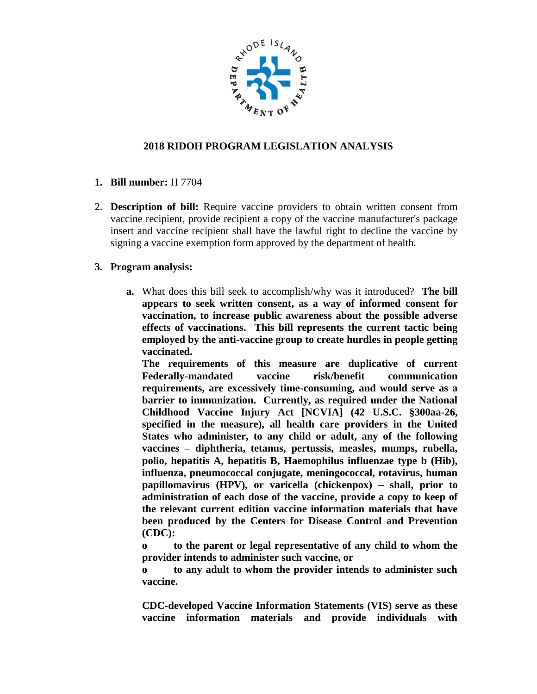

## **2018 RIDOH PROGRAM LEGISLATION ANALYSIS**

- **1. Bill number:** H 7704
- 2. **Description of bill:** Require vaccine providers to obtain written consent from vaccine recipient, provide recipient a copy of the vaccine manufacturer's package insert and vaccine recipient shall have the lawful right to decline the vaccine by signing a vaccine exemption form approved by the department of health.

## **3. Program analysis:**

**a.** What does this bill seek to accomplish/why was it introduced? **The bill appears to seek written consent, as a way of informed consent for vaccination, to increase public awareness about the possible adverse effects of vaccinations. This bill represents the current tactic being employed by the anti-vaccine group to create hurdles in people getting vaccinated.** 

**The requirements of this measure are duplicative of current Federally-mandated vaccine risk/benefit communication requirements, are excessively time-consuming, and would serve as a barrier to immunization. Currently, as required under the National Childhood Vaccine Injury Act [NCVIA] (42 U.S.C. §300aa-26, specified in the measure), all health care providers in the United States who administer, to any child or adult, any of the following vaccines – diphtheria, tetanus, pertussis, measles, mumps, rubella, polio, hepatitis A, hepatitis B, Haemophilus influenzae type b (Hib), influenza, pneumococcal conjugate, meningococcal, rotavirus, human papillomavirus (HPV), or varicella (chickenpox) – shall, prior to administration of each dose of the vaccine, provide a copy to keep of the relevant current edition vaccine information materials that have been produced by the Centers for Disease Control and Prevention (CDC):** 

**o to the parent or legal representative of any child to whom the provider intends to administer such vaccine, or**

**o to any adult to whom the provider intends to administer such vaccine.**

**CDC-developed Vaccine Information Statements (VIS) serve as these vaccine information materials and provide individuals with**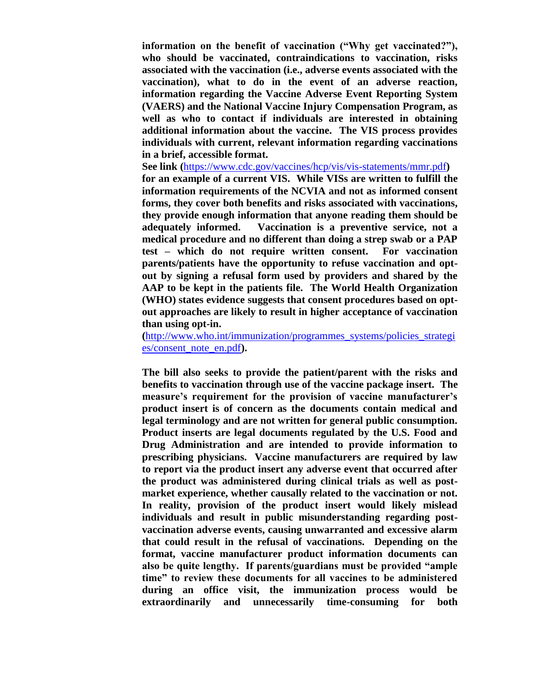**information on the benefit of vaccination ("Why get vaccinated?"), who should be vaccinated, contraindications to vaccination, risks associated with the vaccination (i.e., adverse events associated with the vaccination), what to do in the event of an adverse reaction, information regarding the Vaccine Adverse Event Reporting System (VAERS) and the National Vaccine Injury Compensation Program, as well as who to contact if individuals are interested in obtaining additional information about the vaccine. The VIS process provides individuals with current, relevant information regarding vaccinations in a brief, accessible format.** 

**See link (**<https://www.cdc.gov/vaccines/hcp/vis/vis-statements/mmr.pdf>**) for an example of a current VIS. While VISs are written to fulfill the information requirements of the NCVIA and not as informed consent forms, they cover both benefits and risks associated with vaccinations, they provide enough information that anyone reading them should be adequately informed. Vaccination is a preventive service, not a medical procedure and no different than doing a strep swab or a PAP test – which do not require written consent. For vaccination parents/patients have the opportunity to refuse vaccination and optout by signing a refusal form used by providers and shared by the AAP to be kept in the patients file. The World Health Organization (WHO) states evidence suggests that consent procedures based on optout approaches are likely to result in higher acceptance of vaccination than using opt-in.**

**(**[http://www.who.int/immunization/programmes\\_systems/policies\\_strategi](http://www.who.int/immunization/programmes_systems/policies_strategies/consent_note_en.pdf) [es/consent\\_note\\_en.pdf](http://www.who.int/immunization/programmes_systems/policies_strategies/consent_note_en.pdf)**).** 

**The bill also seeks to provide the patient/parent with the risks and benefits to vaccination through use of the vaccine package insert. The measure's requirement for the provision of vaccine manufacturer's product insert is of concern as the documents contain medical and legal terminology and are not written for general public consumption. Product inserts are legal documents regulated by the U.S. Food and Drug Administration and are intended to provide information to prescribing physicians. Vaccine manufacturers are required by law to report via the product insert any adverse event that occurred after the product was administered during clinical trials as well as postmarket experience, whether causally related to the vaccination or not. In reality, provision of the product insert would likely mislead individuals and result in public misunderstanding regarding postvaccination adverse events, causing unwarranted and excessive alarm that could result in the refusal of vaccinations. Depending on the format, vaccine manufacturer product information documents can also be quite lengthy. If parents/guardians must be provided "ample time" to review these documents for all vaccines to be administered during an office visit, the immunization process would be extraordinarily and unnecessarily time-consuming for both**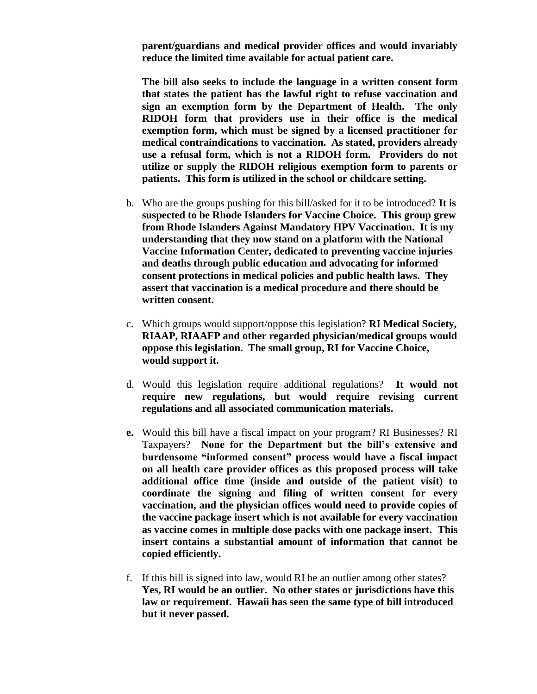**parent/guardians and medical provider offices and would invariably reduce the limited time available for actual patient care.** 

**The bill also seeks to include the language in a written consent form that states the patient has the lawful right to refuse vaccination and sign an exemption form by the Department of Health. The only RIDOH form that providers use in their office is the medical exemption form, which must be signed by a licensed practitioner for medical contraindications to vaccination. As stated, providers already use a refusal form, which is not a RIDOH form. Providers do not utilize or supply the RIDOH religious exemption form to parents or patients. This form is utilized in the school or childcare setting.** 

- b. Who are the groups pushing for this bill/asked for it to be introduced? **It is suspected to be Rhode Islanders for Vaccine Choice. This group grew from Rhode Islanders Against Mandatory HPV Vaccination. It is my understanding that they now stand on a platform with the National Vaccine Information Center, dedicated to preventing vaccine injuries and deaths through public education and advocating for informed consent protections in medical policies and public health laws. They assert that vaccination is a medical procedure and there should be written consent.**
- c. Which groups would support/oppose this legislation? **RI Medical Society, RIAAP, RIAAFP and other regarded physician/medical groups would oppose this legislation. The small group, RI for Vaccine Choice, would support it.**
- d. Would this legislation require additional regulations? **It would not require new regulations, but would require revising current regulations and all associated communication materials.**
- **e.** Would this bill have a fiscal impact on your program? RI Businesses? RI Taxpayers? **None for the Department but the bill's extensive and burdensome "informed consent" process would have a fiscal impact on all health care provider offices as this proposed process will take additional office time (inside and outside of the patient visit) to coordinate the signing and filing of written consent for every vaccination, and the physician offices would need to provide copies of the vaccine package insert which is not available for every vaccination as vaccine comes in multiple dose packs with one package insert. This insert contains a substantial amount of information that cannot be copied efficiently.**
- f. If this bill is signed into law, would RI be an outlier among other states? **Yes, RI would be an outlier. No other states or jurisdictions have this law or requirement. Hawaii has seen the same type of bill introduced but it never passed.**